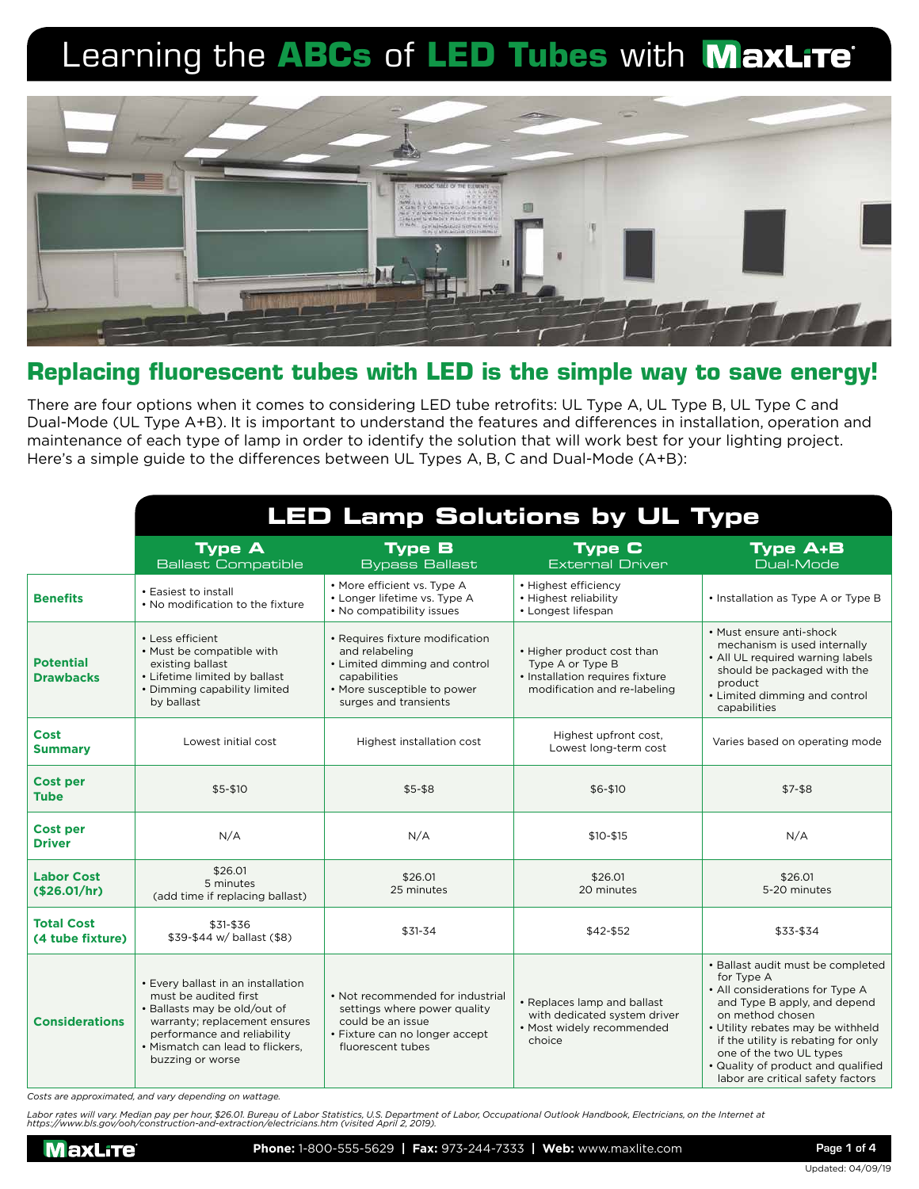

## **Replacing fluorescent tubes with LED is the simple way to save energy!**

There are four options when it comes to considering LED tube retrofits: UL Type A, UL Type B, UL Type C and Dual-Mode (UL Type A+B). It is important to understand the features and differences in installation, operation and maintenance of each type of lamp in order to identify the solution that will work best for your lighting project. Here's a simple guide to the differences between UL Types A, B, C and Dual-Mode (A+B):

|                                       | <b>LED Lamp Solutions by UL Type</b>                                                                                                                                                                                |                                                                                                                                                            |                                                                                                                   |                                                                                                                                                                                                                                                                                                                          |
|---------------------------------------|---------------------------------------------------------------------------------------------------------------------------------------------------------------------------------------------------------------------|------------------------------------------------------------------------------------------------------------------------------------------------------------|-------------------------------------------------------------------------------------------------------------------|--------------------------------------------------------------------------------------------------------------------------------------------------------------------------------------------------------------------------------------------------------------------------------------------------------------------------|
|                                       | <b>Type A</b><br><b>Ballast Compatible</b>                                                                                                                                                                          | <b>Type B</b><br><b>Bypass Ballast</b>                                                                                                                     | <b>Type C</b><br><b>External Driver</b>                                                                           | <b>Type A+B</b><br>Dual-Mode                                                                                                                                                                                                                                                                                             |
| <b>Benefits</b>                       | • Easiest to install<br>• No modification to the fixture                                                                                                                                                            | • More efficient vs. Type A<br>• Longer lifetime vs. Type A<br>. No compatibility issues                                                                   | • Highest efficiency<br>• Highest reliability<br>• Longest lifespan                                               | • Installation as Type A or Type B                                                                                                                                                                                                                                                                                       |
| <b>Potential</b><br><b>Drawbacks</b>  | • Less efficient<br>. Must be compatible with<br>existing ballast<br>• Lifetime limited by ballast<br>• Dimming capability limited<br>by ballast                                                                    | • Requires fixture modification<br>and relabeling<br>• Limited dimming and control<br>capabilities<br>• More susceptible to power<br>surges and transients | • Higher product cost than<br>Type A or Type B<br>• Installation requires fixture<br>modification and re-labeling | • Must ensure anti-shock<br>mechanism is used internally<br>• All UL required warning labels<br>should be packaged with the<br>product<br>• Limited dimming and control<br>capabilities                                                                                                                                  |
| Cost<br><b>Summary</b>                | Lowest initial cost                                                                                                                                                                                                 | Highest installation cost                                                                                                                                  | Highest upfront cost,<br>Lowest long-term cost                                                                    | Varies based on operating mode                                                                                                                                                                                                                                                                                           |
| <b>Cost per</b><br><b>Tube</b>        | $$5 - $10$                                                                                                                                                                                                          | $$5-$8$                                                                                                                                                    | $$6 - $10$                                                                                                        | $$7-$8$                                                                                                                                                                                                                                                                                                                  |
| <b>Cost per</b><br><b>Driver</b>      | N/A                                                                                                                                                                                                                 | N/A                                                                                                                                                        | $$10 - $15$                                                                                                       | N/A                                                                                                                                                                                                                                                                                                                      |
| <b>Labor Cost</b><br>(\$26.01/hr)     | \$26.01<br>5 minutes<br>(add time if replacing ballast)                                                                                                                                                             | \$26.01<br>25 minutes                                                                                                                                      | \$26.01<br>20 minutes                                                                                             | \$26.01<br>5-20 minutes                                                                                                                                                                                                                                                                                                  |
| <b>Total Cost</b><br>(4 tube fixture) | \$31-\$36<br>\$39-\$44 w/ ballast (\$8)                                                                                                                                                                             | $$31-34$                                                                                                                                                   | \$42-\$52                                                                                                         | \$33-\$34                                                                                                                                                                                                                                                                                                                |
| <b>Considerations</b>                 | • Every ballast in an installation<br>must be audited first<br>• Ballasts may be old/out of<br>warranty; replacement ensures<br>performance and reliability<br>• Mismatch can lead to flickers,<br>buzzing or worse | • Not recommended for industrial<br>settings where power quality<br>could be an issue<br>• Fixture can no longer accept<br>fluorescent tubes               | • Replaces lamp and ballast<br>with dedicated system driver<br>· Most widely recommended<br>choice                | • Ballast audit must be completed<br>for Type A<br>• All considerations for Type A<br>and Type B apply, and depend<br>on method chosen<br>• Utility rebates may be withheld<br>if the utility is rebating for only<br>one of the two UL types<br>• Quality of product and qualified<br>labor are critical safety factors |

*Costs are approximated, and vary depending on wattage.*

Labor rates will vary. Median pay per hour, \$26.01. Bureau of Labor Statistics, U.S. Department of Labor, Occupational Outlook Handbook, Electricians, on the Internet at<br>https://www.bls.gov/ooh/construction-and-extraction/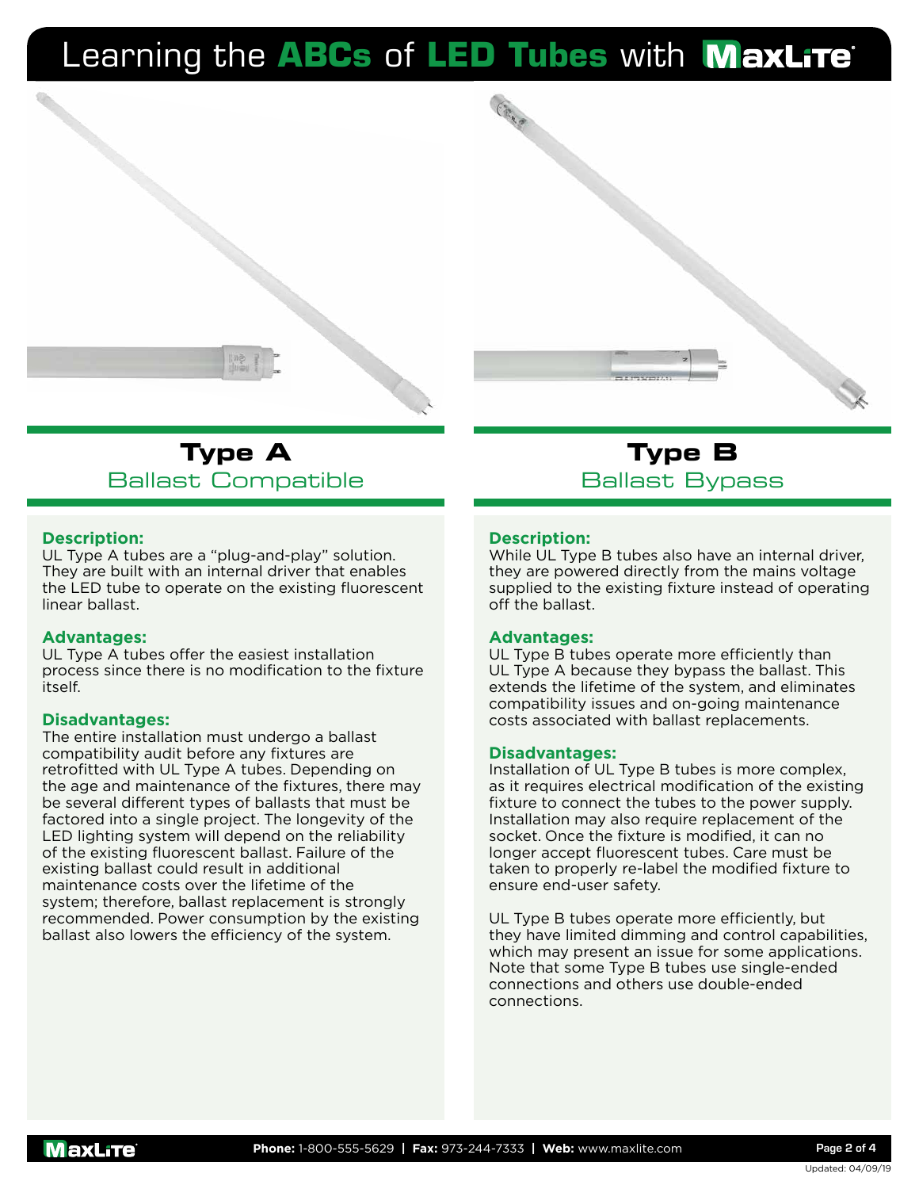



#### **Description:**

UL Type A tubes are a "plug-and-play" solution. They are built with an internal driver that enables the LED tube to operate on the existing fluorescent linear ballast.

#### **Advantages:**

UL Type A tubes offer the easiest installation process since there is no modification to the fixture itself.

#### **Disadvantages:**

The entire installation must undergo a ballast compatibility audit before any fixtures are retrofitted with UL Type A tubes. Depending on the age and maintenance of the fixtures, there may be several different types of ballasts that must be factored into a single project. The longevity of the LED lighting system will depend on the reliability of the existing fluorescent ballast. Failure of the existing ballast could result in additional maintenance costs over the lifetime of the system; therefore, ballast replacement is strongly recommended. Power consumption by the existing ballast also lowers the efficiency of the system.

**Type B** Ballast Bypass

#### **Description:**

While UL Type B tubes also have an internal driver, they are powered directly from the mains voltage supplied to the existing fixture instead of operating off the ballast.

#### **Advantages:**

UL Type B tubes operate more efficiently than UL Type A because they bypass the ballast. This extends the lifetime of the system, and eliminates compatibility issues and on-going maintenance costs associated with ballast replacements.

#### **Disadvantages:**

Installation of UL Type B tubes is more complex, as it requires electrical modification of the existing fixture to connect the tubes to the power supply. Installation may also require replacement of the socket. Once the fixture is modified, it can no longer accept fluorescent tubes. Care must be taken to properly re-label the modified fixture to ensure end-user safety.

UL Type B tubes operate more efficiently, but they have limited dimming and control capabilities, which may present an issue for some applications. Note that some Type B tubes use single-ended connections and others use double-ended connections.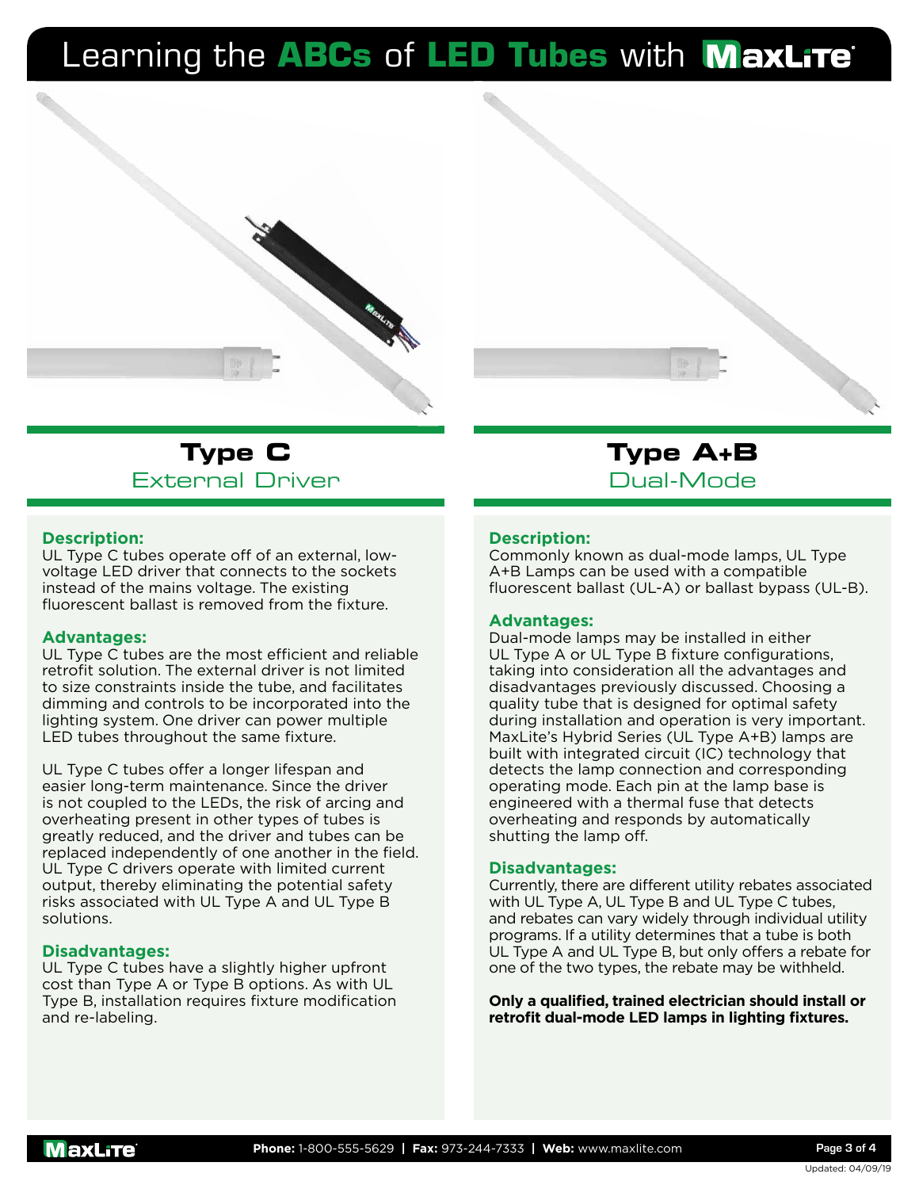

## **Type C** External Driver

#### **Description:**

UL Type C tubes operate off of an external, lowvoltage LED driver that connects to the sockets instead of the mains voltage. The existing fluorescent ballast is removed from the fixture.

#### **Advantages:**

UL Type C tubes are the most efficient and reliable retrofit solution. The external driver is not limited to size constraints inside the tube, and facilitates dimming and controls to be incorporated into the lighting system. One driver can power multiple LED tubes throughout the same fixture.

UL Type C tubes offer a longer lifespan and easier long-term maintenance. Since the driver is not coupled to the LEDs, the risk of arcing and overheating present in other types of tubes is greatly reduced, and the driver and tubes can be replaced independently of one another in the field. UL Type C drivers operate with limited current output, thereby eliminating the potential safety risks associated with UL Type A and UL Type B solutions.

#### **Disadvantages:**

UL Type C tubes have a slightly higher upfront cost than Type A or Type B options. As with UL Type B, installation requires fixture modification and re-labeling.

## **Type A+B** Dual-Mode

#### **Description:**

Commonly known as dual-mode lamps, UL Type A+B Lamps can be used with a compatible fluorescent ballast (UL-A) or ballast bypass (UL-B).

#### **Advantages:**

Dual-mode lamps may be installed in either UL Type A or UL Type B fixture configurations, taking into consideration all the advantages and disadvantages previously discussed. Choosing a quality tube that is designed for optimal safety during installation and operation is very important. MaxLite's Hybrid Series (UL Type A+B) lamps are built with integrated circuit (IC) technology that detects the lamp connection and corresponding operating mode. Each pin at the lamp base is engineered with a thermal fuse that detects overheating and responds by automatically shutting the lamp off.

#### **Disadvantages:**

Currently, there are different utility rebates associated with UL Type A, UL Type B and UL Type C tubes, and rebates can vary widely through individual utility programs. If a utility determines that a tube is both UL Type A and UL Type B, but only offers a rebate for one of the two types, the rebate may be withheld.

**Only a qualified, trained electrician should install or retrofit dual-mode LED lamps in lighting fixtures.**